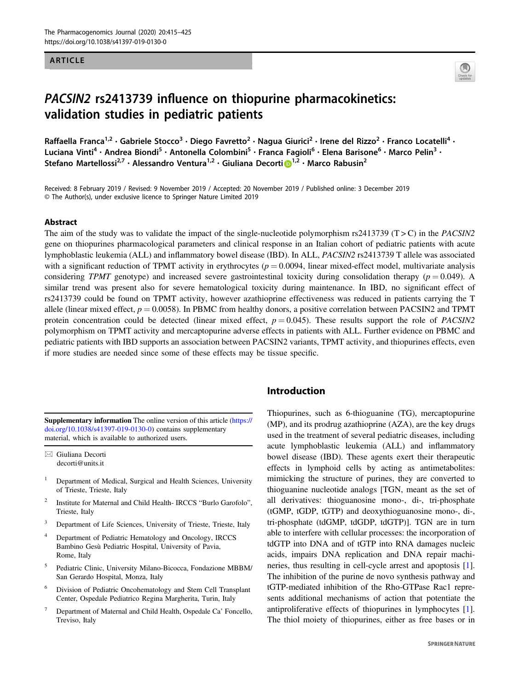# ARTICLE



# PACSIN2 rs2413739 influence on thiopurine pharmacokinetics: validation studies in pediatric patients

Raffaella Franca<sup>1,2</sup> • Gabriele Stocco<sup>3</sup> • Diego Favretto<sup>2</sup> • Nagua Giurici<sup>2</sup> • Irene del Rizzo<sup>2</sup> • Franco Locatelli<sup>4</sup> • Luciana Vinti<sup>4</sup> • Andrea Biondi<sup>5</sup> • Antonella Colombini<sup>5</sup> • Franca Fagioli<sup>6</sup> • Elena Barisone<sup>6</sup> • Marco Pelin<sup>3</sup> • Stefano Martellossi<sup>2,7</sup> · Alessandro Ventura<sup>[1](http://orcid.org/0000-0002-9714-6246),2</sup> · Giuliana Decorti D<sup>1,2</sup> · Marco Rabusin<sup>2</sup>

Received: 8 February 2019 / Revised: 9 November 2019 / Accepted: 20 November 2019 / Published online: 3 December 2019 © The Author(s), under exclusive licence to Springer Nature Limited 2019

## Abstract

The aim of the study was to validate the impact of the single-nucleotide polymorphism rs2413739 ( $T > C$ ) in the *PACSIN2* gene on thiopurines pharmacological parameters and clinical response in an Italian cohort of pediatric patients with acute lymphoblastic leukemia (ALL) and inflammatory bowel disease (IBD). In ALL, PACSIN2 rs2413739 T allele was associated with a significant reduction of TPMT activity in erythrocytes  $(p = 0.0094)$ , linear mixed-effect model, multivariate analysis considering TPMT genotype) and increased severe gastrointestinal toxicity during consolidation therapy ( $p = 0.049$ ). A similar trend was present also for severe hematological toxicity during maintenance. In IBD, no significant effect of rs2413739 could be found on TPMT activity, however azathioprine effectiveness was reduced in patients carrying the T allele (linear mixed effect,  $p = 0.0058$ ). In PBMC from healthy donors, a positive correlation between PACSIN2 and TPMT protein concentration could be detected (linear mixed effect,  $p = 0.045$ ). These results support the role of *PACSIN2* polymorphism on TPMT activity and mercaptopurine adverse effects in patients with ALL. Further evidence on PBMC and pediatric patients with IBD supports an association between PACSIN2 variants, TPMT activity, and thiopurines effects, even if more studies are needed since some of these effects may be tissue specific.

Supplementary information The online version of this article ([https://](https://doi.org/10.1038/s41397-019-0130-0) [doi.org/10.1038/s41397-019-0130-0\)](https://doi.org/10.1038/s41397-019-0130-0) contains supplementary material, which is available to authorized users.

 $\boxtimes$  Giuliana Decorti [decorti@units.it](mailto:decorti@units.it)

- <sup>1</sup> Department of Medical, Surgical and Health Sciences, University of Trieste, Trieste, Italy
- <sup>2</sup> Institute for Maternal and Child Health- IRCCS "Burlo Garofolo", Trieste, Italy
- <sup>3</sup> Department of Life Sciences, University of Trieste, Trieste, Italy
- <sup>4</sup> Department of Pediatric Hematology and Oncology, IRCCS Bambino Gesù Pediatric Hospital, University of Pavia, Rome, Italy
- <sup>5</sup> Pediatric Clinic, University Milano-Bicocca, Fondazione MBBM/ San Gerardo Hospital, Monza, Italy
- <sup>6</sup> Division of Pediatric Oncohematology and Stem Cell Transplant Center, Ospedale Pediatrico Regina Margherita, Turin, Italy
- <sup>7</sup> Department of Maternal and Child Health, Ospedale Ca' Foncello, Treviso, Italy

# Introduction

Thiopurines, such as 6-thioguanine (TG), mercaptopurine (MP), and its prodrug azathioprine (AZA), are the key drugs used in the treatment of several pediatric diseases, including acute lymphoblastic leukemia (ALL) and inflammatory bowel disease (IBD). These agents exert their therapeutic effects in lymphoid cells by acting as antimetabolites: mimicking the structure of purines, they are converted to thioguanine nucleotide analogs [TGN, meant as the set of all derivatives: thioguanosine mono-, di-, tri-phosphate (tGMP, tGDP, tGTP) and deoxythioguanosine mono-, di-, tri-phosphate (tdGMP, tdGDP, tdGTP)]. TGN are in turn able to interfere with cellular processes: the incorporation of tdGTP into DNA and of tGTP into RNA damages nucleic acids, impairs DNA replication and DNA repair machineries, thus resulting in cell-cycle arrest and apoptosis [[1\]](#page-9-0). The inhibition of the purine de novo synthesis pathway and tGTP-mediated inhibition of the Rho-GTPase Rac1 represents additional mechanisms of action that potentiate the antiproliferative effects of thiopurines in lymphocytes [[1\]](#page-9-0). The thiol moiety of thiopurines, either as free bases or in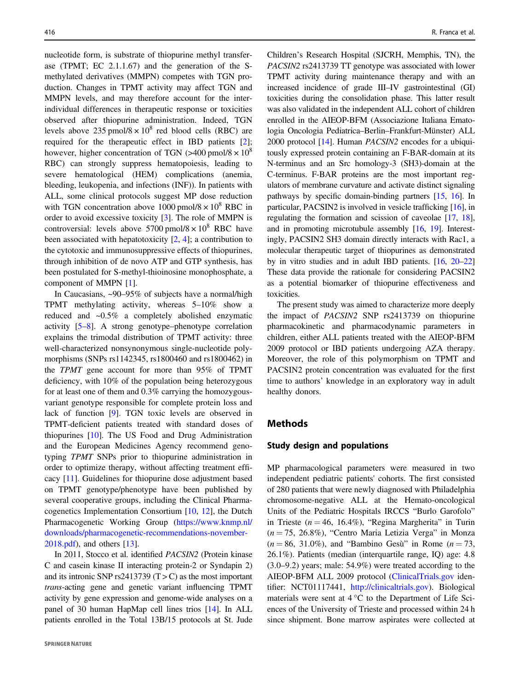nucleotide form, is substrate of thiopurine methyl transferase (TPMT; EC 2.1.1.67) and the generation of the Smethylated derivatives (MMPN) competes with TGN production. Changes in TPMT activity may affect TGN and MMPN levels, and may therefore account for the interindividual differences in therapeutic response or toxicities observed after thiopurine administration. Indeed, TGN levels above 235 pmol/8  $\times$  10<sup>8</sup> red blood cells (RBC) are required for the therapeutic effect in IBD patients [\[2](#page-9-0)]; however, higher concentration of TGN  $(>400 \text{ pmol}/8 \times 10^8$ RBC) can strongly suppress hematopoiesis, leading to severe hematological (HEM) complications (anemia, bleeding, leukopenia, and infections (INF)). In patients with ALL, some clinical protocols suggest MP dose reduction with TGN concentration above 1000 pmol/8  $\times$  10<sup>8</sup> RBC in order to avoid excessive toxicity [[3\]](#page-9-0). The role of MMPN is controversial: levels above  $5700$  pmol/8  $\times$  10<sup>8</sup> RBC have been associated with hepatotoxicity [[2,](#page-9-0) [4](#page-9-0)]; a contribution to the cytotoxic and immunosuppressive effects of thiopurines, through inhibition of de novo ATP and GTP synthesis, has been postulated for S-methyl-thioinosine monophosphate, a component of MMPN [[1\]](#page-9-0).

In Caucasians, ~90–95% of subjects have a normal/high TPMT methylating activity, whereas 5–10% show a reduced and ~0.5% a completely abolished enzymatic activity [\[5](#page-9-0)–[8](#page-9-0)]. A strong genotype–phenotype correlation explains the trimodal distribution of TPMT activity: three well-characterized nonsynonymous single-nucleotide polymorphisms (SNPs rs1142345, rs1800460 and rs1800462) in the TPMT gene account for more than 95% of TPMT deficiency, with 10% of the population being heterozygous for at least one of them and 0.3% carrying the homozygousvariant genotype responsible for complete protein loss and lack of function [[9\]](#page-9-0). TGN toxic levels are observed in TPMT-deficient patients treated with standard doses of thiopurines [\[10](#page-9-0)]. The US Food and Drug Administration and the European Medicines Agency recommend genotyping TPMT SNPs prior to thiopurine administration in order to optimize therapy, without affecting treatment efficacy [[11](#page-9-0)]. Guidelines for thiopurine dose adjustment based on TPMT genotype/phenotype have been published by several cooperative groups, including the Clinical Pharmacogenetics Implementation Consortium [[10,](#page-9-0) [12\]](#page-9-0), the Dutch Pharmacogenetic Working Group [\(https://www.knmp.nl/](https://www.knmp.nl/downloads/pharmacogenetic-recommendations-november-2018.pdf) [downloads/pharmacogenetic-recommendations-november-](https://www.knmp.nl/downloads/pharmacogenetic-recommendations-november-2018.pdf)[2018.pdf\)](https://www.knmp.nl/downloads/pharmacogenetic-recommendations-november-2018.pdf), and others [\[13](#page-9-0)].

In 2011, Stocco et al. identified PACSIN2 (Protein kinase C and casein kinase II interacting protein-2 or Syndapin 2) and its intronic SNP rs2413739 ( $T > C$ ) as the most important trans-acting gene and genetic variant influencing TPMT activity by gene expression and genome-wide analyses on a panel of 30 human HapMap cell lines trios [[14\]](#page-9-0). In ALL patients enrolled in the Total 13B/15 protocols at St. Jude Children's Research Hospital (SJCRH, Memphis, TN), the PACSIN2 rs2413739 TT genotype was associated with lower TPMT activity during maintenance therapy and with an increased incidence of grade III–IV gastrointestinal (GI) toxicities during the consolidation phase. This latter result was also validated in the independent ALL cohort of children enrolled in the AIEOP-BFM (Associazione Italiana Ematologia Oncologia Pediatrica–Berlin–Frankfurt-Münster) ALL 2000 protocol [[14](#page-9-0)]. Human PACSIN2 encodes for a ubiquitously expressed protein containing an F-BAR-domain at its N-terminus and an Src homology-3 (SH3)-domain at the C-terminus. F-BAR proteins are the most important regulators of membrane curvature and activate distinct signaling pathways by specific domain-binding partners [[15,](#page-9-0) [16](#page-9-0)]. In particular, PACSIN2 is involved in vesicle trafficking [\[16\]](#page-9-0), in regulating the formation and scission of caveolae [[17](#page-9-0), [18\]](#page-9-0), and in promoting microtubule assembly [\[16,](#page-9-0) [19](#page-9-0)]. Interestingly, PACSIN2 SH3 domain directly interacts with Rac1, a molecular therapeutic target of thiopurines as demonstrated by in vitro studies and in adult IBD patients. [\[16,](#page-9-0) [20](#page-9-0)–[22](#page-9-0)] These data provide the rationale for considering PACSIN2 as a potential biomarker of thiopurine effectiveness and toxicities.

The present study was aimed to characterize more deeply the impact of PACSIN2 SNP rs2413739 on thiopurine pharmacokinetic and pharmacodynamic parameters in children, either ALL patients treated with the AIEOP-BFM 2009 protocol or IBD patients undergoing AZA therapy. Moreover, the role of this polymorphism on TPMT and PACSIN2 protein concentration was evaluated for the first time to authors' knowledge in an exploratory way in adult healthy donors.

# Methods

# Study design and populations

MP pharmacological parameters were measured in two independent pediatric patients' cohorts. The first consisted of 280 patients that were newly diagnosed with Philadelphia chromosome-negative ALL at the Hemato-oncological Units of the Pediatric Hospitals IRCCS "Burlo Garofolo" in Trieste ( $n = 46$ , 16.4%), "Regina Margherita" in Turin  $(n = 75, 26.8\%)$ , "Centro Maria Letizia Verga" in Monza  $(n = 86, 31.0\%)$ , and "Bambino Gesù" in Rome  $(n = 73,$ 26.1%). Patients (median (interquartile range, IQ) age: 4.8 (3.0–9.2) years; male: 54.9%) were treated according to the AIEOP-BFM ALL 2009 protocol ([ClinicalTrials.gov](http://ClinicalTrials.gov) identifier: NCT01117441, <http://clinicaltrials.gov>). Biological materials were sent at 4 °C to the Department of Life Sciences of the University of Trieste and processed within 24 h since shipment. Bone marrow aspirates were collected at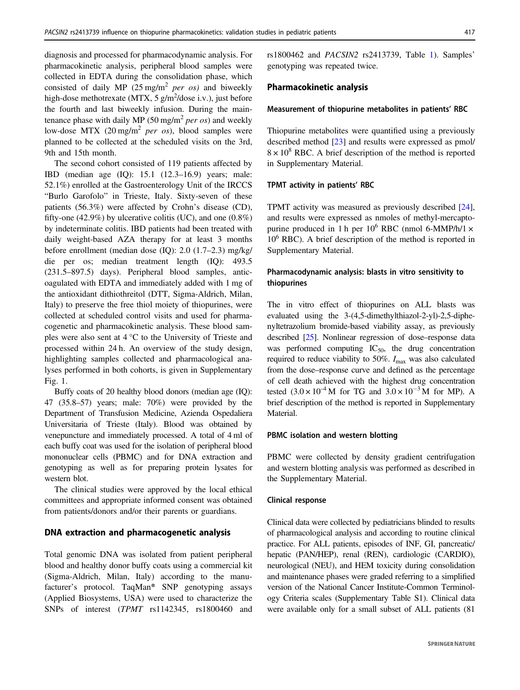diagnosis and processed for pharmacodynamic analysis. For pharmacokinetic analysis, peripheral blood samples were collected in EDTA during the consolidation phase, which consisted of daily MP  $(25 \text{ mg/m}^2 \text{ per } os)$  and biweekly high-dose methotrexate (MTX, 5 g/m<sup>2</sup>/dose i.v.), just before the fourth and last biweekly infusion. During the maintenance phase with daily MP (50 mg/m<sup>2</sup> per os) and weekly low-dose MTX (20 mg/m<sup>2</sup> per os), blood samples were planned to be collected at the scheduled visits on the 3rd, 9th and 15th month.

The second cohort consisted of 119 patients affected by IBD (median age (IQ): 15.1 (12.3–16.9) years; male: 52.1%) enrolled at the Gastroenterology Unit of the IRCCS "Burlo Garofolo" in Trieste, Italy. Sixty-seven of these patients (56.3%) were affected by Crohn's disease (CD), fifty-one  $(42.9\%)$  by ulcerative colitis (UC), and one  $(0.8\%)$ by indeterminate colitis. IBD patients had been treated with daily weight-based AZA therapy for at least 3 months before enrollment (median dose (IQ): 2.0 (1.7–2.3) mg/kg/ die per os; median treatment length (IQ): 493.5 (231.5–897.5) days). Peripheral blood samples, anticoagulated with EDTA and immediately added with 1 mg of the antioxidant dithiothreitol (DTT, Sigma-Aldrich, Milan, Italy) to preserve the free thiol moiety of thiopurines, were collected at scheduled control visits and used for pharmacogenetic and pharmacokinetic analysis. These blood samples were also sent at 4 °C to the University of Trieste and processed within 24 h. An overview of the study design, highlighting samples collected and pharmacological analyses performed in both cohorts, is given in Supplementary Fig. 1.

Buffy coats of 20 healthy blood donors (median age (IQ): 47 (35.8–57) years; male: 70%) were provided by the Department of Transfusion Medicine, Azienda Ospedaliera Universitaria of Trieste (Italy). Blood was obtained by venepuncture and immediately processed. A total of 4 ml of each buffy coat was used for the isolation of peripheral blood mononuclear cells (PBMC) and for DNA extraction and genotyping as well as for preparing protein lysates for western blot.

The clinical studies were approved by the local ethical committees and appropriate informed consent was obtained from patients/donors and/or their parents or guardians.

## DNA extraction and pharmacogenetic analysis

Total genomic DNA was isolated from patient peripheral blood and healthy donor buffy coats using a commercial kit (Sigma-Aldrich, Milan, Italy) according to the manufacturer's protocol. TaqMan® SNP genotyping assays (Applied Biosystems, USA) were used to characterize the SNPs of interest (TPMT rs1142345, rs1800460 and rs1800462 and PACSIN2 rs2413739, Table [1](#page-3-0)). Samples' genotyping was repeated twice.

## Pharmacokinetic analysis

### Measurement of thiopurine metabolites in patients' RBC

Thiopurine metabolites were quantified using a previously described method [\[23](#page-9-0)] and results were expressed as pmol/  $8 \times 10^8$  RBC. A brief description of the method is reported in Supplementary Material.

#### TPMT activity in patients' RBC

TPMT activity was measured as previously described [[24\]](#page-9-0), and results were expressed as nmoles of methyl-mercaptopurine produced in 1 h per  $10^6$  RBC (nmol 6-MMP/h/1  $\times$  $10<sup>6</sup>$  RBC). A brief description of the method is reported in Supplementary Material.

# Pharmacodynamic analysis: blasts in vitro sensitivity to thiopurines

The in vitro effect of thiopurines on ALL blasts was evaluated using the 3-(4,5-dimethylthiazol-2-yl)-2,5-diphenyltetrazolium bromide-based viability assay, as previously described [\[25\]](#page-9-0). Nonlinear regression of dose–response data was performed computing  $IC_{50}$ , the drug concentration required to reduce viability to 50%.  $I_{\text{max}}$  was also calculated from the dose–response curve and defined as the percentage of cell death achieved with the highest drug concentration tested  $(3.0 \times 10^{-4} \text{ M}$  for TG and  $3.0 \times 10^{-3} \text{ M}$  for MP). A brief description of the method is reported in Supplementary Material.

# PBMC isolation and western blotting

PBMC were collected by density gradient centrifugation and western blotting analysis was performed as described in the Supplementary Material.

#### Clinical response

Clinical data were collected by pediatricians blinded to results of pharmacological analysis and according to routine clinical practice. For ALL patients, episodes of INF, GI, pancreatic/ hepatic (PAN/HEP), renal (REN), cardiologic (CARDIO), neurological (NEU), and HEM toxicity during consolidation and maintenance phases were graded referring to a simplified version of the National Cancer Institute-Common Terminology Criteria scales (Supplementary Table S1). Clinical data were available only for a small subset of ALL patients (81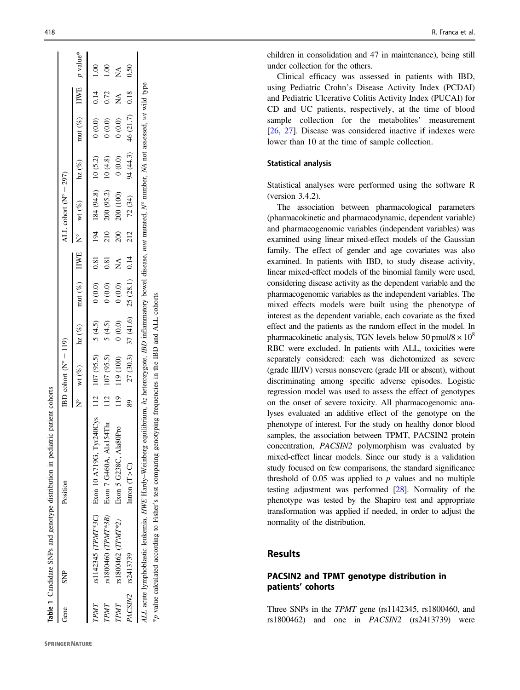<span id="page-3-0"></span>

| Gene | SNP                | Position                                                                                                                                                                                                                                                                               |               | $BD \text{ colort} (N^{\circ} = 119)$               |                                       |        |                           |     | ALL cohort $(N^{\circ} = 297)$    |           |                      |      |         |
|------|--------------------|----------------------------------------------------------------------------------------------------------------------------------------------------------------------------------------------------------------------------------------------------------------------------------------|---------------|-----------------------------------------------------|---------------------------------------|--------|---------------------------|-----|-----------------------------------|-----------|----------------------|------|---------|
|      |                    |                                                                                                                                                                                                                                                                                        |               | N° wt (%) $\ln z$ (%) $\text{mut}$ (%) $\text{HWE}$ |                                       |        |                           |     | $N^{\circ}$ wt $(\%)$ hz $(\%)$   |           | mut (%) HWE p value* |      |         |
| TPMT |                    | rs1142345 (TPMT*3C) Exon 10 A719G, Tyr240Cys 112 107 (95.5) 5 (4.5)                                                                                                                                                                                                                    |               |                                                     |                                       | (0.0)  | 0.81                      |     | $194$ $184$ $(94.8)$ $10$ $(5.2)$ |           | $(0.0)$ 0.14         |      | $-1.00$ |
| TPMT |                    | rs1800460 (TPMT*3B) Exon 7 G460A, Ala154Thr                                                                                                                                                                                                                                            |               | 112 107 (95.5)                                      | 5(4.5)                                | $0.00$ | 0.81                      | 210 | 200 (95.2)                        | 10(4.8)   | 0(0.0)               | 0.72 | 1.00    |
| TPMT | rs1800462 (TPMT*2) | Exon 5 G238C, Ala80Pro                                                                                                                                                                                                                                                                 | $\frac{1}{2}$ | 119 (100)                                           | 0(0.0)                                | (0.0)  | $\mathop{\rm S}\nolimits$ | 200 | 200 (100)                         | (0.0)     | (0.0) 0              | Ź    | Ź       |
|      | PACSIN2 rs2413739  | Intron $(T > C)$                                                                                                                                                                                                                                                                       | 89            |                                                     | $27(30.3)$ $37(41.6)$ $25(28.1)$ 0.14 |        |                           |     | $212$ $72$ $(34)$                 | 94 (44.3) | 46 (21.7) 0.18       |      | 0.50    |
|      |                    | ALL acute lymphoblastic leukemia, HWE Hardy-Weinberg equilibrium, hz heterozygote, IBD inflammatory bowel disease, mut mutated, N° number, NA not assessed, wt wild type<br>*p value calculated according to Fisher's test comparing genotyping frequencies in the IBD and ALL cohorts |               |                                                     |                                       |        |                           |     |                                   |           |                      |      |         |

Table 1 Candidate SNPs and genotype distribution in pediatric patient cohorts

Candidate SNPs and genotype distribution in pediatric patient cohorts

children in consolidation and 47 in maintenance), being still under collection for the others.

Clinical efficacy was assessed in patients with IBD, using Pediatric Crohn 's Disease Activity Index (PCDAI) and Pediatric Ulcerative Colitis Activity Index (PUCAI) for CD and UC patients, respectively, at the time of blood sample collection for the metabolites ' measurement [\[26](#page-9-0) , [27\]](#page-9-0). Disease was considered inactive if indexes were lower than 10 at the time of sample collection.

# Statistical analysis

Statistical analyses were performed using the software R (version 3.4.2).

The association between pharmacological parameters (pharmacokinetic and pharmacodynamic, dependent variable) and pharmacogenomic variables (independent variables) was examined using linear mixed-effect models of the Gaussian family. The effect of gender and age covariates was also examined. In patients with IBD, to study disease activity, linear mixed-effect models of the binomial family were used, considering disease activity as the dependent variable and the pharmacogenomic variables as the independent variables. The mixed effects models were built using the phenotype of interest as the dependent variable, each covariate as the fixed effect and the patients as the random effect in the model. In pharmacokinetic analysis, TGN levels below 50 pmol/8  $\times$  10<sup>8</sup> RBC were excluded. In patients with ALL, toxicities were separately considered: each was dichotomized as severe (grade III/IV) versus nonsevere (grade I/II or absent), without discriminating among speci fic adverse episodes. Logistic regression model was used to assess the effect of genotypes on the onset of severe toxicity. All pharmacogenomic analyses evaluated an additive effect of the genotype on the phenotype of interest. For the study on healthy donor blood samples, the association between TPMT, PACSIN2 protein concentration, PACSIN2 polymorphism was evaluated by mixed-effect linear models. Since our study is a validation study focused on few comparisons, the standard signi ficance threshold of  $0.05$  was applied to  $p$  values and no multiple testing adjustment was performed [\[28](#page-9-0)]. Normality of the phenotype was tested by the Shapiro test and appropriate transformation was applied if needed, in order to adjust the normality of the distribution.

# Results

# PACSIN2 and TPMT genotype distribution in patients ' cohorts

Three SNPs in the TPMT gene (rs1142345, rs1800460, and rs1800462) and one in PACSIN2 (rs2413739) were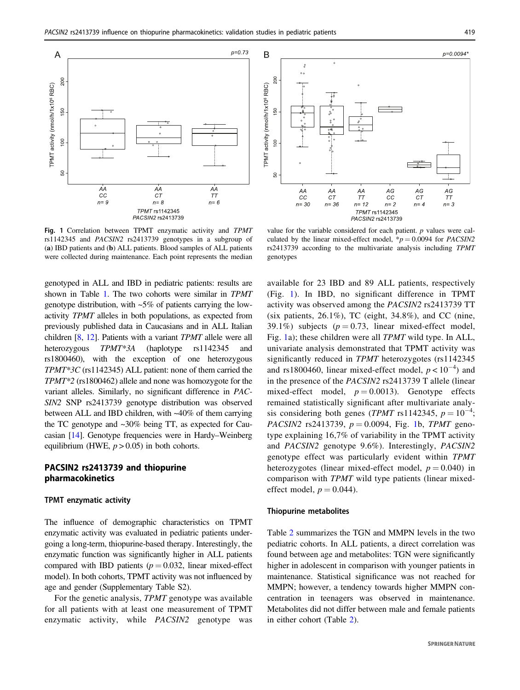

Fig. 1 Correlation between TPMT enzymatic activity and TPMT rs1142345 and PACSIN2 rs2413739 genotypes in a subgroup of (a) IBD patients and (b) ALL patients. Blood samples of ALL patients were collected during maintenance. Each point represents the median

genotyped in ALL and IBD in pediatric patients: results are shown in Table [1.](#page-3-0) The two cohorts were similar in TPMT genotype distribution, with  $-5\%$  of patients carrying the lowactivity TPMT alleles in both populations, as expected from previously published data in Caucasians and in ALL Italian children [\[8](#page-9-0), [12](#page-9-0)]. Patients with a variant TPMT allele were all heterozygous TPMT\*3A (haplotype rs1142345 and rs1800460), with the exception of one heterozygous TPMT\*3C (rs1142345) ALL patient: none of them carried the TPMT\*2 (rs1800462) allele and none was homozygote for the variant alleles. Similarly, no significant difference in PAC-SIN2 SNP rs2413739 genotype distribution was observed between ALL and IBD children, with ~40% of them carrying the TC genotype and ~30% being TT, as expected for Caucasian [[14](#page-9-0)]. Genotype frequencies were in Hardy–Weinberg equilibrium (HWE,  $p > 0.05$ ) in both cohorts.

# PACSIN2 rs2413739 and thiopurine pharmacokinetics

# TPMT enzymatic activity

The influence of demographic characteristics on TPMT enzymatic activity was evaluated in pediatric patients undergoing a long-term, thiopurine-based therapy. Interestingly, the enzymatic function was significantly higher in ALL patients compared with IBD patients ( $p = 0.032$ , linear mixed-effect model). In both cohorts, TPMT activity was not influenced by age and gender (Supplementary Table S2).

For the genetic analysis, TPMT genotype was available for all patients with at least one measurement of TPMT enzymatic activity, while PACSIN2 genotype was



value for the variable considered for each patient. p values were calculated by the linear mixed-effect model,  $\dot{p} = 0.0094$  for *PACSIN2* rs2413739 according to the multivariate analysis including TPMT genotypes

available for 23 IBD and 89 ALL patients, respectively (Fig. 1). In IBD, no significant difference in TPMT activity was observed among the PACSIN2 rs2413739 TT (six patients,  $26.1\%$ ), TC (eight,  $34.8\%$ ), and CC (nine, 39.1%) subjects ( $p = 0.73$ , linear mixed-effect model, Fig. 1a); these children were all TPMT wild type. In ALL, univariate analysis demonstrated that TPMT activity was significantly reduced in TPMT heterozygotes (rs1142345) and rs1800460, linear mixed-effect model,  $p < 10^{-4}$ ) and in the presence of the PACSIN2 rs2413739 T allele (linear mixed-effect model,  $p = 0.0013$ ). Genotype effects remained statistically significant after multivariate analysis considering both genes (TPMT rs1142345,  $p = 10^{-4}$ ; *PACSIN2* rs2413739,  $p = 0.0094$ , Fig. 1b, *TPMT* genotype explaining 16,7% of variability in the TPMT activity and PACSIN2 genotype 9.6%). Interestingly, PACSIN2 genotype effect was particularly evident within TPMT heterozygotes (linear mixed-effect model,  $p = 0.040$ ) in comparison with TPMT wild type patients (linear mixedeffect model,  $p = 0.044$ ).

# Thiopurine metabolites

Table [2](#page-5-0) summarizes the TGN and MMPN levels in the two pediatric cohorts. In ALL patients, a direct correlation was found between age and metabolites: TGN were significantly higher in adolescent in comparison with younger patients in maintenance. Statistical significance was not reached for MMPN; however, a tendency towards higher MMPN concentration in teenagers was observed in maintenance. Metabolites did not differ between male and female patients in either cohort (Table [2](#page-5-0)).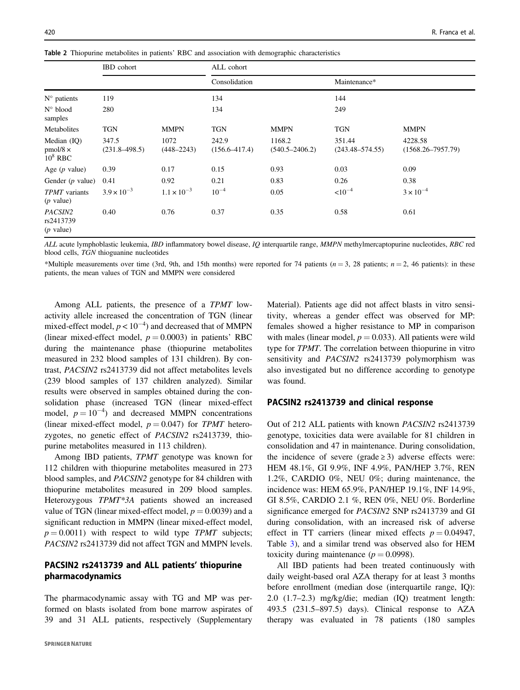<span id="page-5-0"></span>Table 2 Thiopurine metabolites in patients' RBC and association with demographic characteristics

|                                                | <b>IBD</b> cohort          |                        | ALL cohort                 |                              |                               |                                  |
|------------------------------------------------|----------------------------|------------------------|----------------------------|------------------------------|-------------------------------|----------------------------------|
|                                                |                            |                        | Consolidation              |                              | Maintenance*                  |                                  |
| $N^{\circ}$ patients                           | 119                        |                        | 134                        |                              | 144                           |                                  |
| $N^{\circ}$ blood<br>samples                   | 280                        |                        | 134                        |                              | 249                           |                                  |
| Metabolites                                    | <b>TGN</b>                 | <b>MMPN</b>            | <b>TGN</b>                 | <b>MMPN</b>                  | <b>TGN</b>                    | <b>MMPN</b>                      |
| Median $(IQ)$<br>$pmol/8 \times$<br>$10^8$ RBC | 347.5<br>$(231.8 - 498.5)$ | 1072<br>$(448 - 2243)$ | 242.9<br>$(156.6 - 417.4)$ | 1168.2<br>$(540.5 - 2406.2)$ | 351.44<br>$(243.48 - 574.55)$ | 4228.58<br>$(1568.26 - 7957.79)$ |
| Age $(p$ value)                                | 0.39                       | 0.17                   | 0.15                       | 0.93                         | 0.03                          | 0.09                             |
| Gender $(p$ value)                             | 0.41                       | 0.92                   | 0.21                       | 0.83                         | 0.26                          | 0.38                             |
| TPMT variants<br>$(p$ value)                   | $3.9 \times 10^{-3}$       | $1.1 \times 10^{-3}$   | $10^{-4}$                  | 0.05                         | $< 10^{-4}$                   | $3 \times 10^{-4}$               |
| PACSIN2<br>rs2413739<br>$(p$ value)            | 0.40                       | 0.76                   | 0.37                       | 0.35                         | 0.58                          | 0.61                             |

ALL acute lymphoblastic leukemia, IBD inflammatory bowel disease, IO interquartile range, MMPN methylmercaptopurine nucleotides, RBC red blood cells, TGN thioguanine nucleotides

\*Multiple measurements over time (3rd, 9th, and 15th months) were reported for 74 patients ( $n = 3$ , 28 patients;  $n = 2$ , 46 patients): in these patients, the mean values of TGN and MMPN were considered

Among ALL patients, the presence of a TPMT lowactivity allele increased the concentration of TGN (linear mixed-effect model,  $p < 10^{-4}$ ) and decreased that of MMPN (linear mixed-effect model,  $p = 0.0003$ ) in patients' RBC during the maintenance phase (thiopurine metabolites measured in 232 blood samples of 131 children). By contrast, PACSIN2 rs2413739 did not affect metabolites levels (239 blood samples of 137 children analyzed). Similar results were observed in samples obtained during the consolidation phase (increased TGN (linear mixed-effect model,  $p = 10^{-4}$ ) and decreased MMPN concentrations (linear mixed-effect model,  $p = 0.047$ ) for TPMT heterozygotes, no genetic effect of PACSIN2 rs2413739, thiopurine metabolites measured in 113 children).

Among IBD patients, TPMT genotype was known for 112 children with thiopurine metabolites measured in 273 blood samples, and PACSIN2 genotype for 84 children with thiopurine metabolites measured in 209 blood samples. Heterozygous TPMT\*3A patients showed an increased value of TGN (linear mixed-effect model,  $p = 0.0039$ ) and a significant reduction in MMPN (linear mixed-effect model,  $p = 0.0011$ ) with respect to wild type TPMT subjects; PACSIN2 rs2413739 did not affect TGN and MMPN levels.

# PACSIN2 rs2413739 and ALL patients' thiopurine pharmacodynamics

The pharmacodynamic assay with TG and MP was performed on blasts isolated from bone marrow aspirates of 39 and 31 ALL patients, respectively (Supplementary

Material). Patients age did not affect blasts in vitro sensitivity, whereas a gender effect was observed for MP: females showed a higher resistance to MP in comparison with males (linear model,  $p = 0.033$ ). All patients were wild type for TPMT. The correlation between thiopurine in vitro sensitivity and PACSIN2 rs2413739 polymorphism was also investigated but no difference according to genotype was found.

# PACSIN2 rs2413739 and clinical response

Out of 212 ALL patients with known PACSIN2 rs2413739 genotype, toxicities data were available for 81 children in consolidation and 47 in maintenance. During consolidation, the incidence of severe (grade  $\geq$  3) adverse effects were: HEM 48.1%, GI 9.9%, INF 4.9%, PAN/HEP 3.7%, REN 1.2%, CARDIO 0%, NEU 0%; during maintenance, the incidence was: HEM 65.9%, PAN/HEP 19.1%, INF 14.9%, GI 8.5%, CARDIO 2.1 %, REN 0%, NEU 0%. Borderline significance emerged for PACSIN2 SNP rs2413739 and GI during consolidation, with an increased risk of adverse effect in TT carriers (linear mixed effects  $p = 0.04947$ , Table [3](#page-6-0)), and a similar trend was observed also for HEM toxicity during maintenance ( $p = 0.0998$ ).

All IBD patients had been treated continuously with daily weight-based oral AZA therapy for at least 3 months before enrollment (median dose (interquartile range, IQ): 2.0 (1.7–2.3) mg/kg/die; median (IQ) treatment length: 493.5 (231.5–897.5) days). Clinical response to AZA therapy was evaluated in 78 patients (180 samples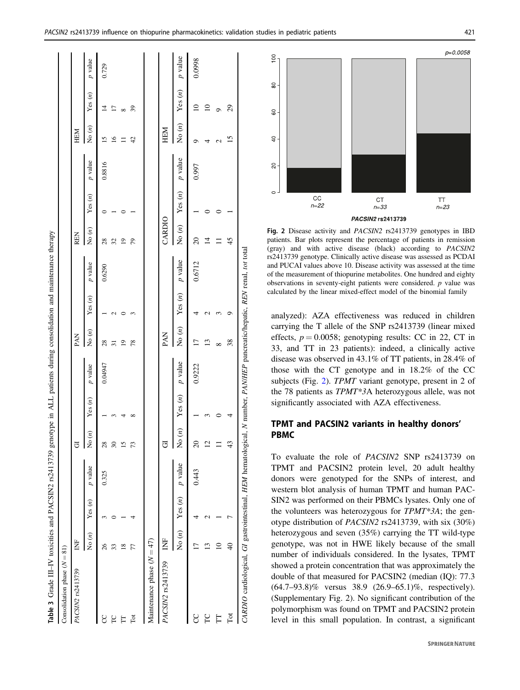<span id="page-6-0"></span>

| Table 3 Grade III-IV toxicities and PACSIN2 rs2413739 genotype in ALL patients during consolidation and maintenance therapy |               |           |                |                |           |                  |                 |                          |           |                |                          |           |                 |                 |           |
|-----------------------------------------------------------------------------------------------------------------------------|---------------|-----------|----------------|----------------|-----------|------------------|-----------------|--------------------------|-----------|----------------|--------------------------|-----------|-----------------|-----------------|-----------|
| Consolidation phase $(N = 81)$                                                                                              |               |           |                |                |           |                  |                 |                          |           |                |                          |           |                 |                 |           |
| PACSIN2 rs2413739                                                                                                           | È             |           |                | 5              |           |                  | PAN             |                          |           | <b>REN</b>     |                          |           | HEM             |                 |           |
|                                                                                                                             | No $(n)$      | Yes(n)    | p value        | No $(n)$       | Yes $(n)$ | $p$ value        | No $(n)$        | Yes $(n)$                | $p$ value | No $(n)$       | Yes $(n)$                | $p$ value | No $(n)$        | Yes(n)          | p value   |
| g                                                                                                                           | 26            |           | 0.325          | 28             |           | 0.04947          | $^{28}$         |                          | 0.6290    | $^{28}$        |                          | 0.8816    | $\overline{5}$  | $\overline{4}$  | 0.729     |
| FC                                                                                                                          | 33            |           |                | $30\,$         |           |                  | $\overline{31}$ |                          |           | 32             |                          |           | $\overline{16}$ | $\overline{17}$ |           |
| Ë                                                                                                                           | $\frac{8}{2}$ |           |                | 15             |           |                  | $\overline{0}$  |                          |           | $\overline{0}$ |                          |           |                 | $\infty$        |           |
| $\overline{\rm Tot}$                                                                                                        | 77            |           |                | 73             | ∞         |                  | 78              |                          |           | 79             |                          |           | 42              | 39              |           |
| Maintenance phase $(N = 47)$                                                                                                |               |           |                |                |           |                  |                 |                          |           |                |                          |           |                 |                 |           |
| PACSIN2 rs2413739                                                                                                           | Ż             |           |                | 5              |           |                  | PAN             |                          |           | CARDIO         |                          |           | HEM             |                 |           |
|                                                                                                                             | No $(n)$      | Yes $(n)$ | <i>p</i> value | No $(n)$       | Yes(n)    | $\emph{p}$ value | No $(n)$        | Yes $(n)$ <i>p</i> value |           | No $(n)$       | Yes $(n)$ <i>p</i> value |           | No $(n)$        | Yes(n)          | $p$ value |
| ႘                                                                                                                           |               |           | 0.443          | 20             |           | 0.9222           | ┍               |                          | 0.6712    | $\approx$      |                          | 0.997     |                 | $\supseteq$     | 0.0998    |
| FC                                                                                                                          | 13            |           |                | $\overline{c}$ |           |                  | $\overline{13}$ |                          |           | 4              |                          |           |                 | $\supseteq$     |           |
| Ë                                                                                                                           | $\supseteq$   |           |                |                |           |                  | ∞               |                          |           |                |                          |           |                 |                 |           |
| Tot                                                                                                                         | $\frac{1}{4}$ |           |                | 43             | 4         |                  | 38              | ٥                        |           | 45             |                          |           | v               | $\mathfrak{S}$  |           |
| CARDIO cardiological, GI gastrointestinal, HEM hematological, N number, PAN/HEP pancreatic/hepatic, REN renal, tot total    |               |           |                |                |           |                  |                 |                          |           |                |                          |           |                 |                 |           |



Fig. 2 Disease activity and PACSIN2 rs2413739 genotypes in IBD patients. Bar plots represent the percentage of patients in remission (gray) and with active disease (black) according to PACSIN2 rs2413739 genotype. Clinically active disease was assessed as PCDAI and PUCAI values above 10. Disease activity was assessed at the time of the measurement of thiopurine metabolites. One hundred and eighty observations in seventy-eight patients were considered. p value was calculated by the linear mixed-effect model of the binomial family

analyzed): AZA effectiveness was reduced in children carrying the T allele of the SNP rs2413739 (linear mixed effects,  $p = 0.0058$ ; genotyping results: CC in 22, CT in 33, and TT in 23 patients): indeed, a clinically active disease was observed in 43.1% of TT patients, in 28.4% of those with the CT genotype and in 18.2% of the CC subjects (Fig. 2). TPMT variant genotype, present in 2 of the 78 patients as TPMT\*3A heterozygous allele, was not significantly associated with AZA effectiveness.

# TPMT and PACSIN2 variants in healthy donors' PBMC

To evaluate the role of PACSIN2 SNP rs2413739 on TPMT and PACSIN2 protein level, 20 adult healthy donors were genotyped for the SNPs of interest, and western blot analysis of human TPMT and human PAC-SIN2 was performed on their PBMCs lysates. Only one of the volunteers was heterozygous for TPMT\*3A; the genotype distribution of PACSIN2 rs2413739, with six (30%) heterozygous and seven (35%) carrying the TT wild-type genotype, was not in HWE likely because of the small number of individuals considered. In the lysates, TPMT showed a protein concentration that was approximately the double of that measured for PACSIN2 (median (IQ): 77.3 (64.7–93.8)% versus 38.9 (26.9–65.1)%, respectively). (Supplementary Fig. 2). No significant contribution of the polymorphism was found on TPMT and PACSIN2 protein level in this small population. In contrast, a significant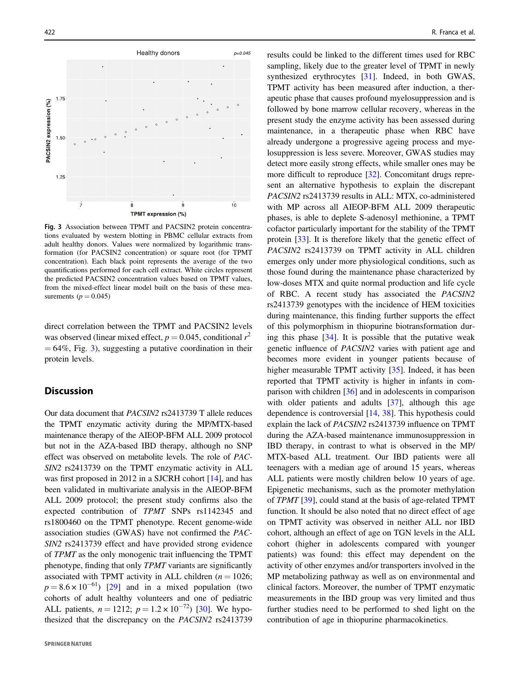

Fig. 3 Association between TPMT and PACSIN2 protein concentrations evaluated by western blotting in PBMC cellular extracts from adult healthy donors. Values were normalized by logarithmic transformation (for PACSIN2 concentration) or square root (for TPMT concentration). Each black point represents the average of the two quantifications performed for each cell extract. White circles represent the predicted PACSIN2 concentration values based on TPMT values, from the mixed-effect linear model built on the basis of these measurements ( $p = 0.045$ )

direct correlation between the TPMT and PACSIN2 levels was observed (linear mixed effect,  $p = 0.045$ , conditional  $r^2$  $= 64\%$ , Fig. 3), suggesting a putative coordination in their protein levels.

# **Discussion**

Our data document that PACSIN2 rs2413739 T allele reduces the TPMT enzymatic activity during the MP/MTX-based maintenance therapy of the AIEOP-BFM ALL 2009 protocol but not in the AZA-based IBD therapy, although no SNP effect was observed on metabolite levels. The role of PAC-SIN2 rs2413739 on the TPMT enzymatic activity in ALL was first proposed in 2012 in a SJCRH cohort [\[14](#page-9-0)], and has been validated in multivariate analysis in the AIEOP-BFM ALL 2009 protocol; the present study confirms also the expected contribution of TPMT SNPs rs1142345 and rs1800460 on the TPMT phenotype. Recent genome-wide association studies (GWAS) have not confirmed the PAC-SIN2 rs2413739 effect and have provided strong evidence of TPMT as the only monogenic trait influencing the TPMT phenotype, finding that only TPMT variants are significantly associated with TPMT activity in ALL children ( $n = 1026$ ;  $p = 8.6 \times 10^{-61}$ ) [\[29](#page-9-0)] and in a mixed population (two cohorts of adult healthy volunteers and one of pediatric ALL patients,  $n = 1212$ ;  $p = 1.2 \times 10^{-72}$  [[30\]](#page-9-0). We hypothesized that the discrepancy on the PACSIN2 rs2413739

results could be linked to the different times used for RBC sampling, likely due to the greater level of TPMT in newly synthesized erythrocytes [[31\]](#page-9-0). Indeed, in both GWAS, TPMT activity has been measured after induction, a therapeutic phase that causes profound myelosuppression and is followed by bone marrow cellular recovery, whereas in the present study the enzyme activity has been assessed during maintenance, in a therapeutic phase when RBC have already undergone a progressive ageing process and myelosuppression is less severe. Moreover, GWAS studies may detect more easily strong effects, while smaller ones may be more difficult to reproduce [[32\]](#page-9-0). Concomitant drugs represent an alternative hypothesis to explain the discrepant PACSIN2 rs2413739 results in ALL: MTX, co-administered with MP across all AIEOP-BFM ALL 2009 therapeutic phases, is able to deplete S-adenosyl methionine, a TPMT cofactor particularly important for the stability of the TPMT protein [[33\]](#page-9-0). It is therefore likely that the genetic effect of PACSIN2 rs2413739 on TPMT activity in ALL children emerges only under more physiological conditions, such as those found during the maintenance phase characterized by low-doses MTX and quite normal production and life cycle of RBC. A recent study has associated the PACSIN2 rs2413739 genotypes with the incidence of HEM toxicities during maintenance, this finding further supports the effect of this polymorphism in thiopurine biotransformation during this phase [\[34](#page-9-0)]. It is possible that the putative weak genetic influence of PACSIN2 varies with patient age and becomes more evident in younger patients because of higher measurable TPMT activity [[35\]](#page-10-0). Indeed, it has been reported that TPMT activity is higher in infants in comparison with children [\[36](#page-10-0)] and in adolescents in comparison with older patients and adults [\[37](#page-10-0)], although this age dependence is controversial [[14,](#page-9-0) [38\]](#page-10-0). This hypothesis could explain the lack of PACSIN2 rs2413739 influence on TPMT during the AZA-based maintenance immunosuppression in IBD therapy, in contrast to what is observed in the MP/ MTX-based ALL treatment. Our IBD patients were all teenagers with a median age of around 15 years, whereas ALL patients were mostly children below 10 years of age. Epigenetic mechanisms, such as the promoter methylation of TPMT [[39\]](#page-10-0), could stand at the basis of age-related TPMT function. It should be also noted that no direct effect of age on TPMT activity was observed in neither ALL nor IBD cohort, although an effect of age on TGN levels in the ALL cohort (higher in adolescents compared with younger patients) was found: this effect may dependent on the activity of other enzymes and/or transporters involved in the MP metabolizing pathway as well as on environmental and clinical factors. Moreover, the number of TPMT enzymatic measurements in the IBD group was very limited and thus further studies need to be performed to shed light on the contribution of age in thiopurine pharmacokinetics.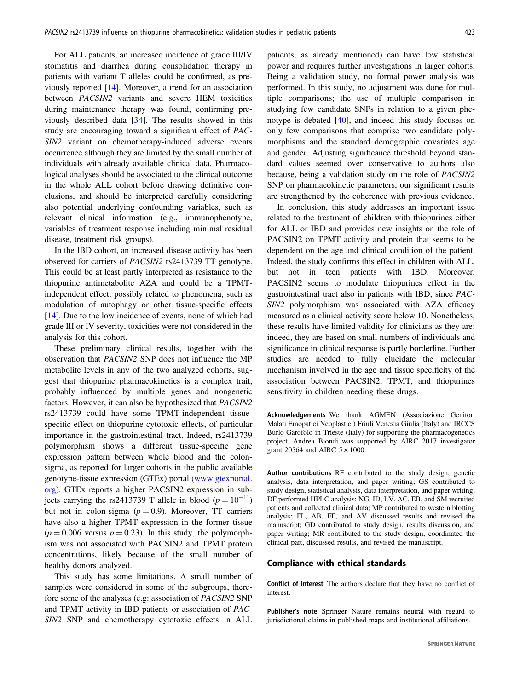For ALL patients, an increased incidence of grade III/IV stomatitis and diarrhea during consolidation therapy in patients with variant T alleles could be confirmed, as previously reported [[14\]](#page-9-0). Moreover, a trend for an association between PACSIN2 variants and severe HEM toxicities during maintenance therapy was found, confirming previously described data [[34\]](#page-9-0). The results showed in this study are encouraging toward a significant effect of PAC-SIN2 variant on chemotherapy-induced adverse events occurrence although they are limited by the small number of individuals with already available clinical data. Pharmacological analyses should be associated to the clinical outcome in the whole ALL cohort before drawing definitive conclusions, and should be interpreted carefully considering also potential underlying confounding variables, such as relevant clinical information (e.g., immunophenotype, variables of treatment response including minimal residual disease, treatment risk groups).

In the IBD cohort, an increased disease activity has been observed for carriers of PACSIN2 rs2413739 TT genotype. This could be at least partly interpreted as resistance to the thiopurine antimetabolite AZA and could be a TPMTindependent effect, possibly related to phenomena, such as modulation of autophagy or other tissue-specific effects [\[14](#page-9-0)]. Due to the low incidence of events, none of which had grade III or IV severity, toxicities were not considered in the analysis for this cohort.

These preliminary clinical results, together with the observation that PACSIN2 SNP does not influence the MP metabolite levels in any of the two analyzed cohorts, suggest that thiopurine pharmacokinetics is a complex trait, probably influenced by multiple genes and nongenetic factors. However, it can also be hypothesized that PACSIN2 rs2413739 could have some TPMT-independent tissuespecific effect on thiopurine cytotoxic effects, of particular importance in the gastrointestinal tract. Indeed, rs2413739 polymorphism shows a different tissue-specific gene expression pattern between whole blood and the colonsigma, as reported for larger cohorts in the public available genotype-tissue expression (GTEx) portal ([www.gtexportal.](http://www.gtexportal.org) [org](http://www.gtexportal.org)). GTEx reports a higher PACSIN2 expression in subjects carrying the rs2413739 T allele in blood ( $p = 10^{-11}$ ) but not in colon-sigma ( $p = 0.9$ ). Moreover, TT carriers have also a higher TPMT expression in the former tissue  $(p = 0.006$  versus  $p = 0.23$ ). In this study, the polymorphism was not associated with PACSIN2 and TPMT protein concentrations, likely because of the small number of healthy donors analyzed.

This study has some limitations. A small number of samples were considered in some of the subgroups, therefore some of the analyses (e.g: association of PACSIN2 SNP and TPMT activity in IBD patients or association of PAC-SIN2 SNP and chemotherapy cytotoxic effects in ALL patients, as already mentioned) can have low statistical power and requires further investigations in larger cohorts. Being a validation study, no formal power analysis was performed. In this study, no adjustment was done for multiple comparisons; the use of multiple comparison in studying few candidate SNPs in relation to a given phenotype is debated [[40\]](#page-10-0), and indeed this study focuses on only few comparisons that comprise two candidate polymorphisms and the standard demographic covariates age and gender. Adjusting significance threshold beyond standard values seemed over conservative to authors also because, being a validation study on the role of PACSIN2 SNP on pharmacokinetic parameters, our significant results are strengthened by the coherence with previous evidence.

In conclusion, this study addresses an important issue related to the treatment of children with thiopurines either for ALL or IBD and provides new insights on the role of PACSIN2 on TPMT activity and protein that seems to be dependent on the age and clinical condition of the patient. Indeed, the study confirms this effect in children with ALL, but not in teen patients with IBD. Moreover, PACSIN2 seems to modulate thiopurines effect in the gastrointestinal tract also in patients with IBD, since PAC-SIN2 polymorphism was associated with AZA efficacy measured as a clinical activity score below 10. Nonetheless, these results have limited validity for clinicians as they are: indeed, they are based on small numbers of individuals and significance in clinical response is partly borderline. Further studies are needed to fully elucidate the molecular mechanism involved in the age and tissue specificity of the association between PACSIN2, TPMT, and thiopurines sensitivity in children needing these drugs.

Acknowledgements We thank AGMEN (Associazione Genitori Malati Emopatici Neoplastici) Friuli Venezia Giulia (Italy) and IRCCS Burlo Garofolo in Trieste (Italy) for supporting the pharmacogenetics project. Andrea Biondi was supported by AIRC 2017 investigator grant 20564 and AIRC  $5 \times 1000$ .

Author contributions RF contributed to the study design, genetic analysis, data interpretation, and paper writing; GS contributed to study design, statistical analysis, data interpretation, and paper writing; DF performed HPLC analysis; NG, ID, LV, AC, EB, and SM recruited patients and collected clinical data; MP contributed to western blotting analysis; FL, AB, FF, and AV discussed results and revised the manuscript; GD contributed to study design, results discussion, and paper writing; MR contributed to the study design, coordinated the clinical part, discussed results, and revised the manuscript.

## Compliance with ethical standards

Conflict of interest The authors declare that they have no conflict of interest.

Publisher's note Springer Nature remains neutral with regard to jurisdictional claims in published maps and institutional affiliations.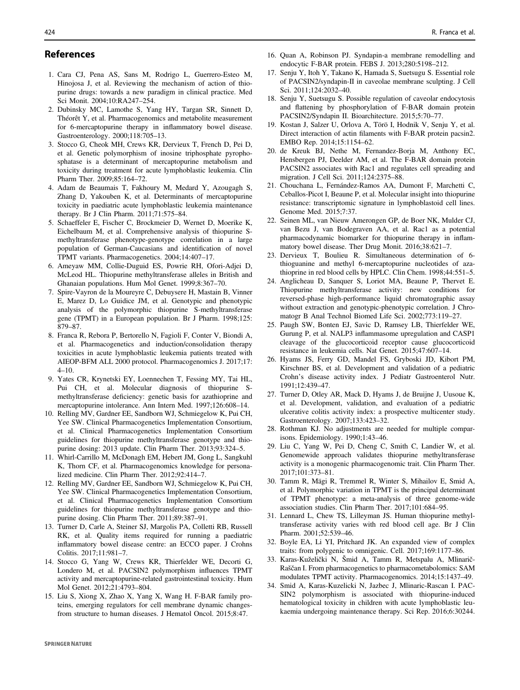# <span id="page-9-0"></span>References

- 1. Cara CJ, Pena AS, Sans M, Rodrigo L, Guerrero-Esteo M, Hinojosa J, et al. Reviewing the mechanism of action of thiopurine drugs: towards a new paradigm in clinical practice. Med Sci Monit. 2004;10:RA247–254.
- 2. Dubinsky MC, Lamothe S, Yang HY, Targan SR, Sinnett D, Théorêt Y, et al. Pharmacogenomics and metabolite measurement for 6-mercaptopurine therapy in inflammatory bowel disease. Gastroenterology. 2000;118:705–13.
- 3. Stocco G, Cheok MH, Crews KR, Dervieux T, French D, Pei D, et al. Genetic polymorphism of inosine triphosphate pyrophosphatase is a determinant of mercaptopurine metabolism and toxicity during treatment for acute lymphoblastic leukemia. Clin Pharm Ther. 2009;85:164–72.
- 4. Adam de Beaumais T, Fakhoury M, Medard Y, Azougagh S, Zhang D, Yakouben K, et al. Determinants of mercaptopurine toxicity in paediatric acute lymphoblastic leukemia maintenance therapy. Br J Clin Pharm. 2011;71:575–84.
- 5. Schaeffeler E, Fischer C, Brockmeier D, Wernet D, Moerike K, Eichelbaum M, et al. Comprehensive analysis of thiopurine Smethyltransferase phenotype-genotype correlation in a large population of German-Caucasians and identification of novel TPMT variants. Pharmacogenetics. 2004;14:407–17.
- 6. Ameyaw MM, Collie-Duguid ES, Powrie RH, Ofori-Adjei D, McLeod HL. Thiopurine methyltransferase alleles in British and Ghanaian populations. Hum Mol Genet. 1999;8:367–70.
- 7. Spire-Vayron de la Moureyre C, Debuysere H, Mastain B, Vinner E, Marez D, Lo Guidice JM, et al. Genotypic and phenotypic analysis of the polymorphic thiopurine S-methyltransferase gene (TPMT) in a European population. Br J Pharm. 1998;125: 879–87.
- 8. Franca R, Rebora P, Bertorello N, Fagioli F, Conter V, Biondi A, et al. Pharmacogenetics and induction/consolidation therapy toxicities in acute lymphoblastic leukemia patients treated with AIEOP-BFM ALL 2000 protocol. Pharmacogenomics J. 2017;17:  $4 - 10$ .
- 9. Yates CR, Krynetski EY, Loennechen T, Fessing MY, Tai HL, Pui CH, et al. Molecular diagnosis of thiopurine Smethyltransferase deficiency: genetic basis for azathioprine and mercaptopurine intolerance. Ann Intern Med. 1997;126:608–14.
- 10. Relling MV, Gardner EE, Sandborn WJ, Schmiegelow K, Pui CH, Yee SW. Clinical Pharmacogenetics Implementation Consortium, et al. Clinical Pharmacogenetics Implementation Consortium guidelines for thiopurine methyltransferase genotype and thiopurine dosing: 2013 update. Clin Pharm Ther. 2013;93:324–5.
- 11. Whirl-Carrillo M, McDonagh EM, Hebert JM, Gong L, Sangkuhl K, Thorn CF, et al. Pharmacogenomics knowledge for personalized medicine. Clin Pharm Ther. 2012;92:414–7.
- 12. Relling MV, Gardner EE, Sandborn WJ, Schmiegelow K, Pui CH, Yee SW. Clinical Pharmacogenetics Implementation Consortium, et al. Clinical Pharmacogenetics Implementation Consortium guidelines for thiopurine methyltransferase genotype and thiopurine dosing. Clin Pharm Ther. 2011;89:387–91.
- 13. Turner D, Carle A, Steiner SJ, Margolis PA, Colletti RB, Russell RK, et al. Quality items required for running a paediatric inflammatory bowel disease centre: an ECCO paper. J Crohns Colitis. 2017;11:981–7.
- 14. Stocco G, Yang W, Crews KR, Thierfelder WE, Decorti G, Londero M, et al. PACSIN2 polymorphism influences TPMT activity and mercaptopurine-related gastrointestinal toxicity. Hum Mol Genet. 2012;21:4793–804.
- 15. Liu S, Xiong X, Zhao X, Yang X, Wang H. F-BAR family proteins, emerging regulators for cell membrane dynamic changesfrom structure to human diseases. J Hematol Oncol. 2015;8:47.
- 16. Quan A, Robinson PJ. Syndapin-a membrane remodelling and endocytic F-BAR protein. FEBS J. 2013;280:5198–212.
- 17. Senju Y, Itoh Y, Takano K, Hamada S, Suetsugu S. Essential role of PACSIN2/syndapin-II in caveolae membrane sculpting. J Cell Sci. 2011;124:2032–40.
- 18. Senju Y, Suetsugu S. Possible regulation of caveolar endocytosis and flattening by phosphorylation of F-BAR domain protein PACSIN2/Syndapin II. Bioarchitecture. 2015;5:70–77.
- 19. Kostan J, Salzer U, Orlova A, Törö I, Hodnik V, Senju Y, et al. Direct interaction of actin filaments with F-BAR protein pacsin2. EMBO Rep. 2014;15:1154–62.
- 20. de Kreuk BJ, Nethe M, Fernandez-Borja M, Anthony EC, Hensbergen PJ, Deelder AM, et al. The F-BAR domain protein PACSIN2 associates with Rac1 and regulates cell spreading and migration. J Cell Sci. 2011;124:2375–88.
- 21. Chouchana L, Fernández-Ramos AA, Dumont F, Marchetti C, Ceballos-Picot I, Beaune P, et al. Molecular insight into thiopurine resistance: transcriptomic signature in lymphoblastoid cell lines. Genome Med. 2015;7:37.
- 22. Seinen ML, van Nieuw Amerongen GP, de Boer NK, Mulder CJ, van Bezu J, van Bodegraven AA, et al. Rac1 as a potential pharmacodynamic biomarker for thiopurine therapy in inflammatory bowel disease. Ther Drug Monit. 2016;38:621–7.
- 23. Dervieux T, Boulieu R. Simultaneous determination of 6 thioguanine and methyl 6-mercaptopurine nucleotides of azathioprine in red blood cells by HPLC. Clin Chem. 1998;44:551–5.
- 24. Anglicheau D, Sanquer S, Loriot MA, Beaune P, Thervet E. Thiopurine methyltransferase activity: new conditions for reversed-phase high-performance liquid chromatographic assay without extraction and genotypic-phenotypic correlation. J Chromatogr B Anal Technol Biomed Life Sci. 2002;773:119–27.
- 25. Paugh SW, Bonten EJ, Savic D, Ramsey LB, Thierfelder WE, Gurung P, et al. NALP3 inflammasome upregulation and CASP1 cleavage of the glucocorticoid receptor cause glucocorticoid resistance in leukemia cells. Nat Genet. 2015;47:607–14.
- 26. Hyams JS, Ferry GD, Mandel FS, Gryboski JD, Kibort PM, Kirschner BS, et al. Development and validation of a pediatric Crohn's disease activity index. J Pediatr Gastroenterol Nutr. 1991;12:439–47.
- 27. Turner D, Otley AR, Mack D, Hyams J, de Bruijne J, Uusoue K, et al. Development, validation, and evaluation of a pediatric ulcerative colitis activity index: a prospective multicenter study. Gastroenterology. 2007;133:423–32.
- 28. Rothman KJ. No adjustments are needed for multiple comparisons. Epidemiology. 1990;1:43–46.
- 29. Liu C, Yang W, Pei D, Cheng C, Smith C, Landier W, et al. Genomewide approach validates thiopurine methyltransferase activity is a monogenic pharmacogenomic trait. Clin Pharm Ther. 2017;101:373–81.
- 30. Tamm R, Mägi R, Tremmel R, Winter S, Mihailov E, Smid A, et al. Polymorphic variation in TPMT is the principal determinant of TPMT phenotype: a meta-analysis of three genome-wide association studies. Clin Pharm Ther. 2017;101:684–95.
- 31. Lennard L, Chew TS, Lilleyman JS. Human thiopurine methyltransferase activity varies with red blood cell age. Br J Clin Pharm. 2001;52:539–46.
- 32. Boyle EA, Li YI, Pritchard JK. An expanded view of complex traits: from polygenic to omnigenic. Cell. 2017;169:1177–86.
- 33. Karas-Kuželički N, Šmid A, Tamm R, Metspalu A, Mlinarič-Raščan I. From pharmacogenetics to pharmacometabolomics: SAM modulates TPMT activity. Pharmacogenomics. 2014;15:1437–49.
- 34. Smid A, Karas-Kuzelicki N, Jazbec J, Mlinaric-Rascan I. PAC-SIN2 polymorphism is associated with thiopurine-induced hematological toxicity in children with acute lymphoblastic leukaemia undergoing maintenance therapy. Sci Rep. 2016;6:30244.